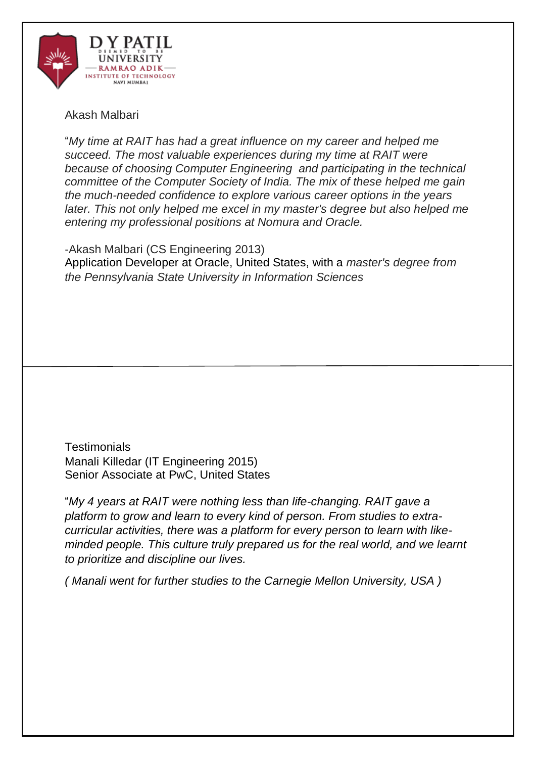

# Akash Malbari

"*My time at RAIT has had a great influence on my career and helped me succeed. The most valuable experiences during my time at RAIT were because of choosing Computer Engineering and participating in the technical committee of the Computer Society of India. The mix of these helped me gain the much-needed confidence to explore various career options in the years*  later. This not only helped me excel in my master's degree but also helped me *entering my professional positions at Nomura and Oracle.*

-Akash Malbari (CS Engineering 2013) Application Developer at Oracle, United States, with a *master's degree from the Pennsylvania State University in Information Sciences*

**Testimonials** Manali Killedar (IT Engineering 2015) Senior Associate at PwC, United States

"*My 4 years at RAIT were nothing less than life-changing. RAIT gave a platform to grow and learn to every kind of person. From studies to extracurricular activities, there was a platform for every person to learn with likeminded people. This culture truly prepared us for the real world, and we learnt to prioritize and discipline our lives.*

*( Manali went for further studies to the Carnegie Mellon University, USA )*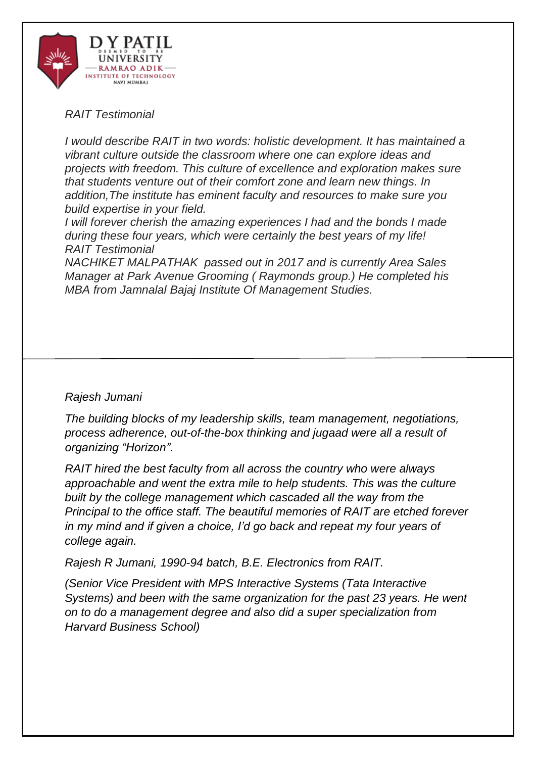

## *RAIT Testimonial*

*I would describe RAIT in two words: holistic development. It has maintained a vibrant culture outside the classroom where one can explore ideas and projects with freedom. This culture of excellence and exploration makes sure that students venture out of their comfort zone and learn new things. In addition,The institute has eminent faculty and resources to make sure you build expertise in your field.*

*I will forever cherish the amazing experiences I had and the bonds I made during these four years, which were certainly the best years of my life! RAIT Testimonial*

*NACHIKET MALPATHAK passed out in 2017 and is currently Area Sales Manager at Park Avenue Grooming ( Raymonds group.) He completed his MBA from Jamnalal Bajaj Institute Of Management Studies.*

## *Rajesh Jumani*

*The building blocks of my leadership skills, team management, negotiations, process adherence, out-of-the-box thinking and jugaad were all a result of organizing "Horizon".* 

*RAIT hired the best faculty from all across the country who were always approachable and went the extra mile to help students. This was the culture built by the college management which cascaded all the way from the Principal to the office staff. The beautiful memories of RAIT are etched forever in my mind and if given a choice, I'd go back and repeat my four years of college again.*

*Rajesh R Jumani, 1990-94 batch, B.E. Electronics from RAIT.*

*(Senior Vice President with MPS Interactive Systems (Tata Interactive Systems) and been with the same organization for the past 23 years. He went on to do a management degree and also did a super specialization from Harvard Business School)*